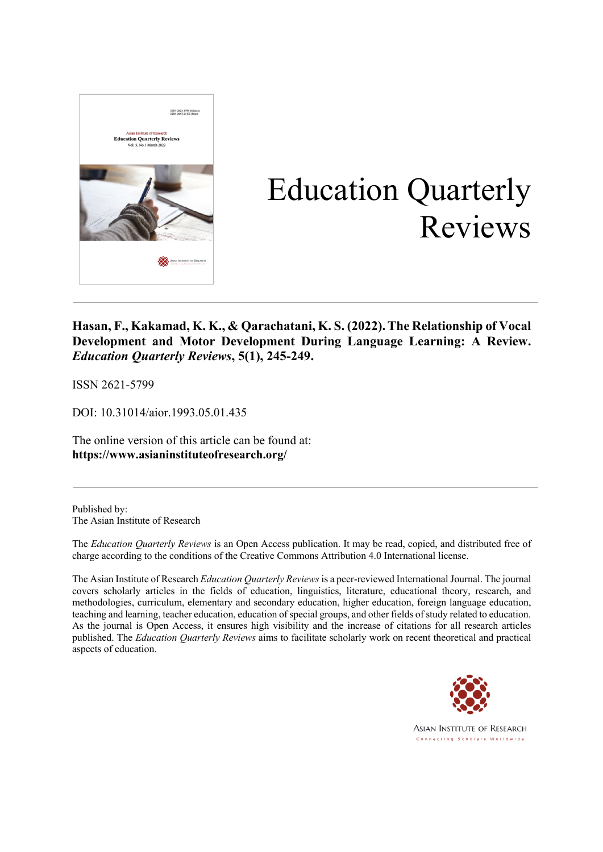

# Education Quarterly Reviews

### **Hasan, F., Kakamad, K. K., & Qarachatani, K. S. (2022).The Relationship of Vocal Development and Motor Development During Language Learning: A Review.** *Education Quarterly Reviews***, 5(1), 245-249.**

ISSN 2621-5799

DOI: 10.31014/aior.1993.05.01.435

The online version of this article can be found at: **https://www.asianinstituteofresearch.org/**

Published by: The Asian Institute of Research

The *Education Quarterly Reviews* is an Open Access publication. It may be read, copied, and distributed free of charge according to the conditions of the Creative Commons Attribution 4.0 International license.

The Asian Institute of Research *Education Quarterly Reviews*is a peer-reviewed International Journal. The journal covers scholarly articles in the fields of education, linguistics, literature, educational theory, research, and methodologies, curriculum, elementary and secondary education, higher education, foreign language education, teaching and learning, teacher education, education of special groups, and other fields of study related to education. As the journal is Open Access, it ensures high visibility and the increase of citations for all research articles published. The *Education Quarterly Reviews* aims to facilitate scholarly work on recent theoretical and practical aspects of education.



**ASIAN INSTITUTE OF RESEARCH** Connecting Scholars Worldwide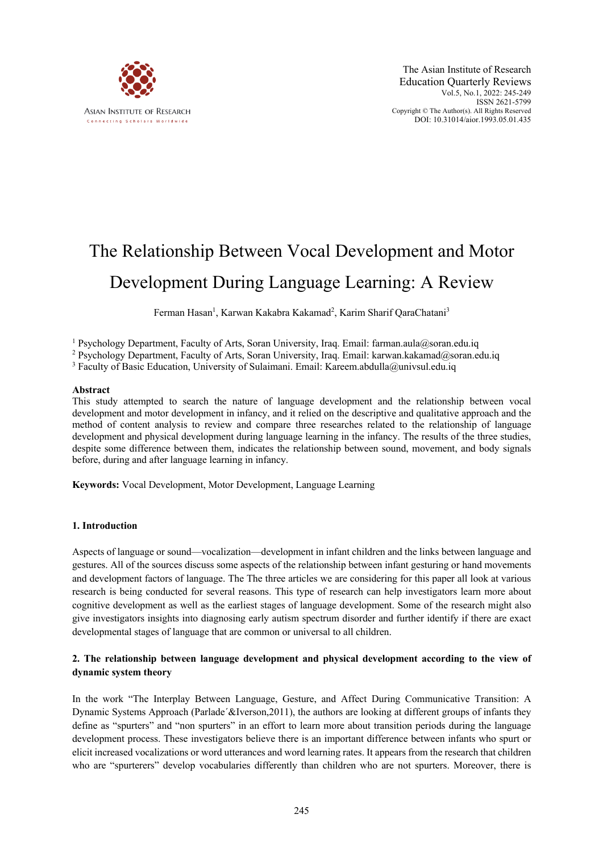

## The Relationship Between Vocal Development and Motor Development During Language Learning: A Review

Ferman Hasan<sup>1</sup>, Karwan Kakabra Kakamad<sup>2</sup>, Karim Sharif QaraChatani<sup>3</sup>

<sup>1</sup> Psychology Department, Faculty of Arts, Soran University, Iraq. Email: farman.aula@soran.edu.iq

<sup>2</sup> Psychology Department, Faculty of Arts, Soran University, Iraq. Email: karwan.kakamad@soran.edu.iq

<sup>3</sup> Faculty of Basic Education, University of Sulaimani. Email: Kareem.abdulla@univsul.edu.iq

#### **Abstract**

This study attempted to search the nature of language development and the relationship between vocal development and motor development in infancy, and it relied on the descriptive and qualitative approach and the method of content analysis to review and compare three researches related to the relationship of language development and physical development during language learning in the infancy. The results of the three studies, despite some difference between them, indicates the relationship between sound, movement, and body signals before, during and after language learning in infancy.

**Keywords:** Vocal Development, Motor Development, Language Learning

#### **1. Introduction**

Aspects of language or sound—vocalization—development in infant children and the links between language and gestures. All of the sources discuss some aspects of the relationship between infant gesturing or hand movements and development factors of language. The The three articles we are considering for this paper all look at various research is being conducted for several reasons. This type of research can help investigators learn more about cognitive development as well as the earliest stages of language development. Some of the research might also give investigators insights into diagnosing early autism spectrum disorder and further identify if there are exact developmental stages of language that are common or universal to all children.

#### **2. The relationship between language development and physical development according to the view of dynamic system theory**

In the work "The Interplay Between Language, Gesture, and Affect During Communicative Transition: A Dynamic Systems Approach (Parlade´&Iverson,2011), the authors are looking at different groups of infants they define as "spurters" and "non spurters" in an effort to learn more about transition periods during the language development process. These investigators believe there is an important difference between infants who spurt or elicit increased vocalizations or word utterances and word learning rates. It appears from the research that children who are "spurterers" develop vocabularies differently than children who are not spurters. Moreover, there is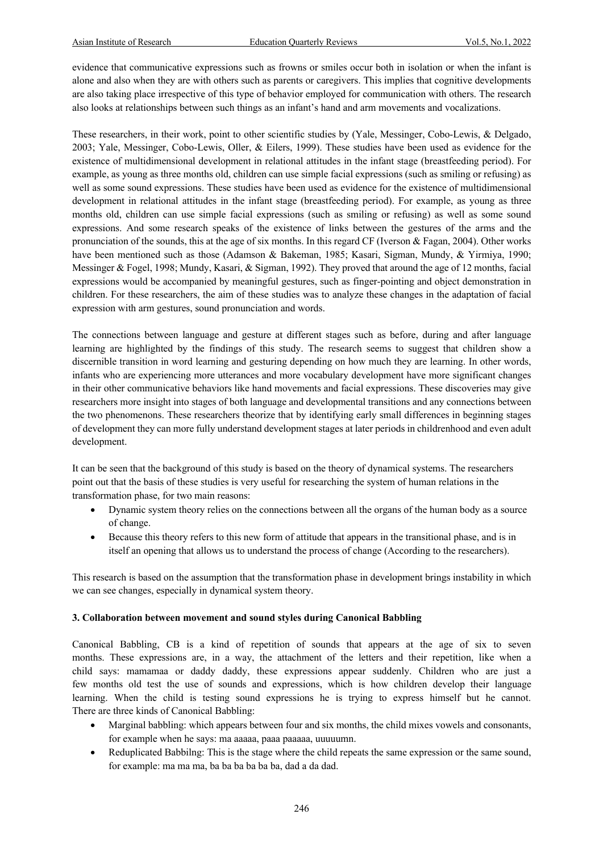evidence that communicative expressions such as frowns or smiles occur both in isolation or when the infant is alone and also when they are with others such as parents or caregivers. This implies that cognitive developments are also taking place irrespective of this type of behavior employed for communication with others. The research also looks at relationships between such things as an infant's hand and arm movements and vocalizations.

These researchers, in their work, point to other scientific studies by (Yale, Messinger, Cobo-Lewis, & Delgado, 2003; Yale, Messinger, Cobo-Lewis, Oller, & Eilers, 1999). These studies have been used as evidence for the existence of multidimensional development in relational attitudes in the infant stage (breastfeeding period). For example, as young as three months old, children can use simple facial expressions (such as smiling or refusing) as well as some sound expressions. These studies have been used as evidence for the existence of multidimensional development in relational attitudes in the infant stage (breastfeeding period). For example, as young as three months old, children can use simple facial expressions (such as smiling or refusing) as well as some sound expressions. And some research speaks of the existence of links between the gestures of the arms and the pronunciation of the sounds, this at the age of six months. In this regard CF (Iverson & Fagan, 2004). Other works have been mentioned such as those (Adamson & Bakeman, 1985; Kasari, Sigman, Mundy, & Yirmiya, 1990; Messinger & Fogel, 1998; Mundy, Kasari, & Sigman, 1992). They proved that around the age of 12 months, facial expressions would be accompanied by meaningful gestures, such as finger-pointing and object demonstration in children. For these researchers, the aim of these studies was to analyze these changes in the adaptation of facial expression with arm gestures, sound pronunciation and words.

The connections between language and gesture at different stages such as before, during and after language learning are highlighted by the findings of this study. The research seems to suggest that children show a discernible transition in word learning and gesturing depending on how much they are learning. In other words, infants who are experiencing more utterances and more vocabulary development have more significant changes in their other communicative behaviors like hand movements and facial expressions. These discoveries may give researchers more insight into stages of both language and developmental transitions and any connections between the two phenomenons. These researchers theorize that by identifying early small differences in beginning stages of development they can more fully understand development stages at later periods in childrenhood and even adult development.

It can be seen that the background of this study is based on the theory of dynamical systems. The researchers point out that the basis of these studies is very useful for researching the system of human relations in the transformation phase, for two main reasons:

- Dynamic system theory relies on the connections between all the organs of the human body as a source of change.
- Because this theory refers to this new form of attitude that appears in the transitional phase, and is in itself an opening that allows us to understand the process of change (According to the researchers).

This research is based on the assumption that the transformation phase in development brings instability in which we can see changes, especially in dynamical system theory.

#### **3. Collaboration between movement and sound styles during Canonical Babbling**

Canonical Babbling, CB is a kind of repetition of sounds that appears at the age of six to seven months. These expressions are, in a way, the attachment of the letters and their repetition, like when a child says: mamamaa or daddy daddy, these expressions appear suddenly. Children who are just a few months old test the use of sounds and expressions, which is how children develop their language learning. When the child is testing sound expressions he is trying to express himself but he cannot. There are three kinds of Canonical Babbling:

- Marginal babbling: which appears between four and six months, the child mixes vowels and consonants, for example when he says: ma aaaaa, paaa paaaaa, uuuuumn.
- Reduplicated Babbilng: This is the stage where the child repeats the same expression or the same sound, for example: ma ma ma, ba ba ba ba ba ba, dad a da dad.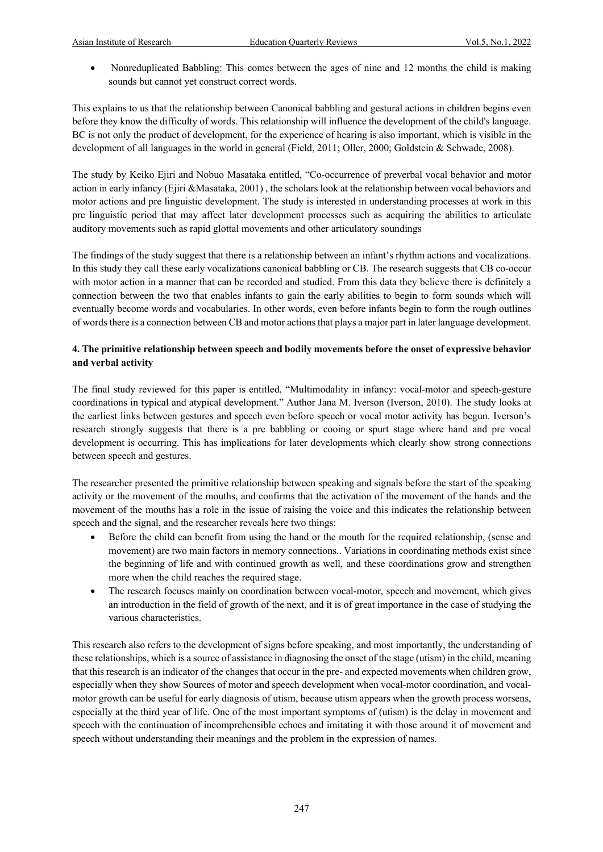• Nonreduplicated Babbling: This comes between the ages of nine and 12 months the child is making sounds but cannot yet construct correct words.

This explains to us that the relationship between Canonical babbling and gestural actions in children begins even before they know the difficulty of words. This relationship will influence the development of the child's language. BC is not only the product of development, for the experience of hearing is also important, which is visible in the development of all languages in the world in general (Field, 2011; Oller, 2000; Goldstein & Schwade, 2008).

The study by Keiko Ejiri and Nobuo Masataka entitled, "Co-occurrence of preverbal vocal behavior and motor action in early infancy (Ejiri &Masataka, 2001) , the scholars look at the relationship between vocal behaviors and motor actions and pre linguistic development. The study is interested in understanding processes at work in this pre linguistic period that may affect later development processes such as acquiring the abilities to articulate auditory movements such as rapid glottal movements and other articulatory soundings

The findings of the study suggest that there is a relationship between an infant's rhythm actions and vocalizations. In this study they call these early vocalizations canonical babbling or CB. The research suggests that CB co-occur with motor action in a manner that can be recorded and studied. From this data they believe there is definitely a connection between the two that enables infants to gain the early abilities to begin to form sounds which will eventually become words and vocabularies. In other words, even before infants begin to form the rough outlines of words there is a connection between CB and motor actions that plays a major part in later language development.

#### **4. The primitive relationship between speech and bodily movements before the onset of expressive behavior and verbal activity**

The final study reviewed for this paper is entitled, "Multimodality in infancy: vocal-motor and speech-gesture coordinations in typical and atypical development." Author Jana M. Iverson (Iverson, 2010). The study looks at the earliest links between gestures and speech even before speech or vocal motor activity has begun. Iverson's research strongly suggests that there is a pre babbling or cooing or spurt stage where hand and pre vocal development is occurring. This has implications for later developments which clearly show strong connections between speech and gestures.

The researcher presented the primitive relationship between speaking and signals before the start of the speaking activity or the movement of the mouths, and confirms that the activation of the movement of the hands and the movement of the mouths has a role in the issue of raising the voice and this indicates the relationship between speech and the signal, and the researcher reveals here two things:

- Before the child can benefit from using the hand or the mouth for the required relationship, (sense and movement) are two main factors in memory connections.. Variations in coordinating methods exist since the beginning of life and with continued growth as well, and these coordinations grow and strengthen more when the child reaches the required stage.
- The research focuses mainly on coordination between vocal-motor, speech and movement, which gives an introduction in the field of growth of the next, and it is of great importance in the case of studying the various characteristics.

This research also refers to the development of signs before speaking, and most importantly, the understanding of these relationships, which is a source of assistance in diagnosing the onset of the stage (utism) in the child, meaning that this research is an indicator of the changes that occur in the pre- and expected movements when children grow, especially when they show Sources of motor and speech development when vocal-motor coordination, and vocalmotor growth can be useful for early diagnosis of utism, because utism appears when the growth process worsens, especially at the third year of life. One of the most important symptoms of (utism) is the delay in movement and speech with the continuation of incomprehensible echoes and imitating it with those around it of movement and speech without understanding their meanings and the problem in the expression of names.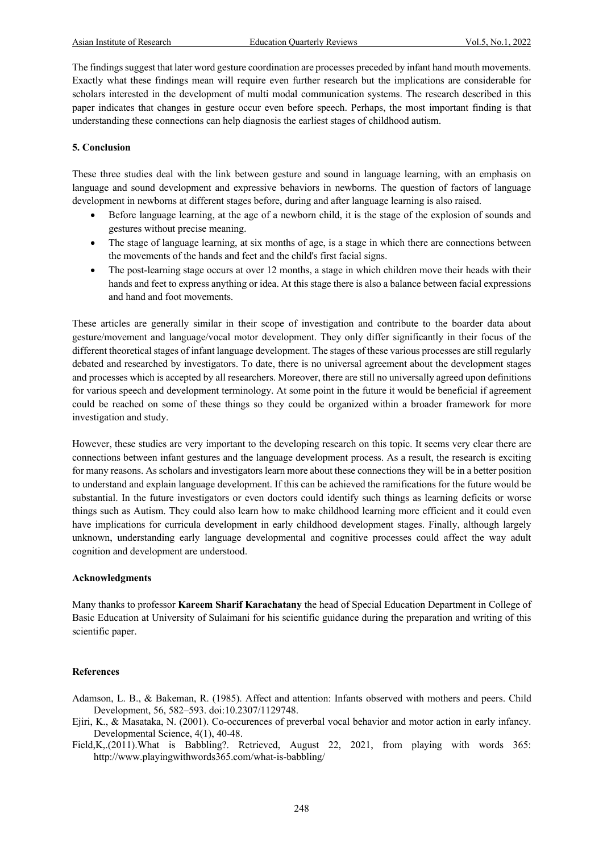The findings suggest that later word gesture coordination are processes preceded by infant hand mouth movements. Exactly what these findings mean will require even further research but the implications are considerable for scholars interested in the development of multi modal communication systems. The research described in this paper indicates that changes in gesture occur even before speech. Perhaps, the most important finding is that understanding these connections can help diagnosis the earliest stages of childhood autism.

#### **5. Conclusion**

These three studies deal with the link between gesture and sound in language learning, with an emphasis on language and sound development and expressive behaviors in newborns. The question of factors of language development in newborns at different stages before, during and after language learning is also raised.

- Before language learning, at the age of a newborn child, it is the stage of the explosion of sounds and gestures without precise meaning.
- The stage of language learning, at six months of age, is a stage in which there are connections between the movements of the hands and feet and the child's first facial signs.
- The post-learning stage occurs at over 12 months, a stage in which children move their heads with their hands and feet to express anything or idea. At this stage there is also a balance between facial expressions and hand and foot movements.

These articles are generally similar in their scope of investigation and contribute to the boarder data about gesture/movement and language/vocal motor development. They only differ significantly in their focus of the different theoretical stages of infant language development. The stages of these various processes are still regularly debated and researched by investigators. To date, there is no universal agreement about the development stages and processes which is accepted by all researchers. Moreover, there are still no universally agreed upon definitions for various speech and development terminology. At some point in the future it would be beneficial if agreement could be reached on some of these things so they could be organized within a broader framework for more investigation and study.

However, these studies are very important to the developing research on this topic. It seems very clear there are connections between infant gestures and the language development process. As a result, the research is exciting for many reasons. As scholars and investigators learn more about these connections they will be in a better position to understand and explain language development. If this can be achieved the ramifications for the future would be substantial. In the future investigators or even doctors could identify such things as learning deficits or worse things such as Autism. They could also learn how to make childhood learning more efficient and it could even have implications for curricula development in early childhood development stages. Finally, although largely unknown, understanding early language developmental and cognitive processes could affect the way adult cognition and development are understood.

#### **Acknowledgments**

Many thanks to professor **Kareem Sharif Karachatany** the head of Special Education Department in College of Basic Education at University of Sulaimani for his scientific guidance during the preparation and writing of this scientific paper.

#### **References**

- Adamson, L. B., & Bakeman, R. (1985). Affect and attention: Infants observed with mothers and peers. Child Development, 56, 582–593. doi:10.2307/1129748.
- Ejiri, K., & Masataka, N. (2001). Co-occurences of preverbal vocal behavior and motor action in early infancy. Developmental Science, 4(1), 40-48.

Field, K,.(2011). What is Babbling?. Retrieved, August 22, 2021, from playing with words 365: http://www.playingwithwords365.com/what-is-babbling/